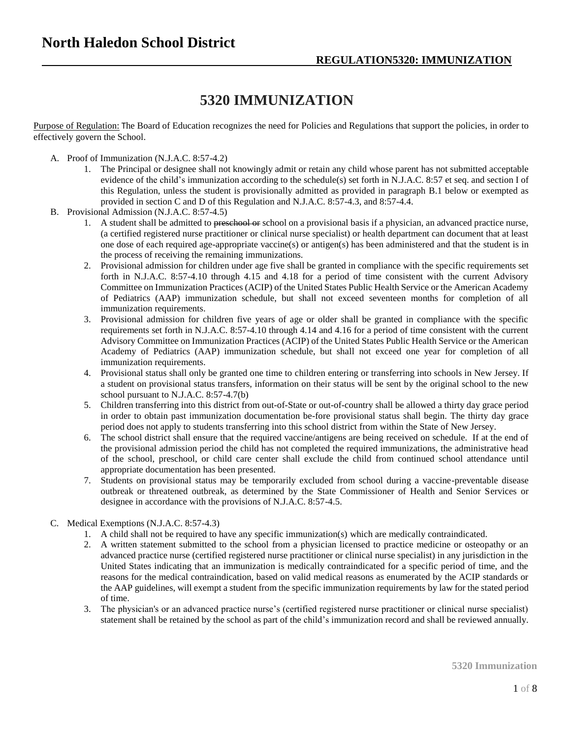## **5320 IMMUNIZATION**

Purpose of Regulation: The Board of Education recognizes the need for Policies and Regulations that support the policies, in order to effectively govern the School.

- A. Proof of Immunization (N.J.A.C. 8:57-4.2)
	- 1. The Principal or designee shall not knowingly admit or retain any child whose parent has not submitted acceptable evidence of the child's immunization according to the schedule(s) set forth in N.J.A.C. 8:57 et seq. and section I of this Regulation, unless the student is provisionally admitted as provided in paragraph B.1 below or exempted as provided in section C and D of this Regulation and N.J.A.C. 8:57-4.3, and 8:57-4.4.
- B. Provisional Admission (N.J.A.C. 8:57-4.5)
	- 1. A student shall be admitted to preschool or school on a provisional basis if a physician, an advanced practice nurse, (a certified registered nurse practitioner or clinical nurse specialist) or health department can document that at least one dose of each required age-appropriate vaccine(s) or antigen(s) has been administered and that the student is in the process of receiving the remaining immunizations.
	- 2. Provisional admission for children under age five shall be granted in compliance with the specific requirements set forth in N.J.A.C. 8:57-4.10 through 4.15 and 4.18 for a period of time consistent with the current Advisory Committee on Immunization Practices (ACIP) of the United States Public Health Service or the American Academy of Pediatrics (AAP) immunization schedule, but shall not exceed seventeen months for completion of all immunization requirements.
	- 3. Provisional admission for children five years of age or older shall be granted in compliance with the specific requirements set forth in N.J.A.C. 8:57-4.10 through 4.14 and 4.16 for a period of time consistent with the current Advisory Committee on Immunization Practices (ACIP) of the United States Public Health Service or the American Academy of Pediatrics (AAP) immunization schedule, but shall not exceed one year for completion of all immunization requirements.
	- 4. Provisional status shall only be granted one time to children entering or transferring into schools in New Jersey. If a student on provisional status transfers, information on their status will be sent by the original school to the new school pursuant to N.J.A.C. 8:57-4.7(b)
	- 5. Children transferring into this district from out-of-State or out-of-country shall be allowed a thirty day grace period in order to obtain past immunization documentation be-fore provisional status shall begin. The thirty day grace period does not apply to students transferring into this school district from within the State of New Jersey.
	- 6. The school district shall ensure that the required vaccine/antigens are being received on schedule. If at the end of the provisional admission period the child has not completed the required immunizations, the administrative head of the school, preschool, or child care center shall exclude the child from continued school attendance until appropriate documentation has been presented.
	- 7. Students on provisional status may be temporarily excluded from school during a vaccine-preventable disease outbreak or threatened outbreak, as determined by the State Commissioner of Health and Senior Services or designee in accordance with the provisions of N.J.A.C. 8:57-4.5.
- C. Medical Exemptions (N.J.A.C. 8:57-4.3)
	- 1. A child shall not be required to have any specific immunization(s) which are medically contraindicated.
	- 2. A written statement submitted to the school from a physician licensed to practice medicine or osteopathy or an advanced practice nurse (certified registered nurse practitioner or clinical nurse specialist) in any jurisdiction in the United States indicating that an immunization is medically contraindicated for a specific period of time, and the reasons for the medical contraindication, based on valid medical reasons as enumerated by the ACIP standards or the AAP guidelines, will exempt a student from the specific immunization requirements by law for the stated period of time.
	- 3. The physician's or an advanced practice nurse's (certified registered nurse practitioner or clinical nurse specialist) statement shall be retained by the school as part of the child's immunization record and shall be reviewed annually.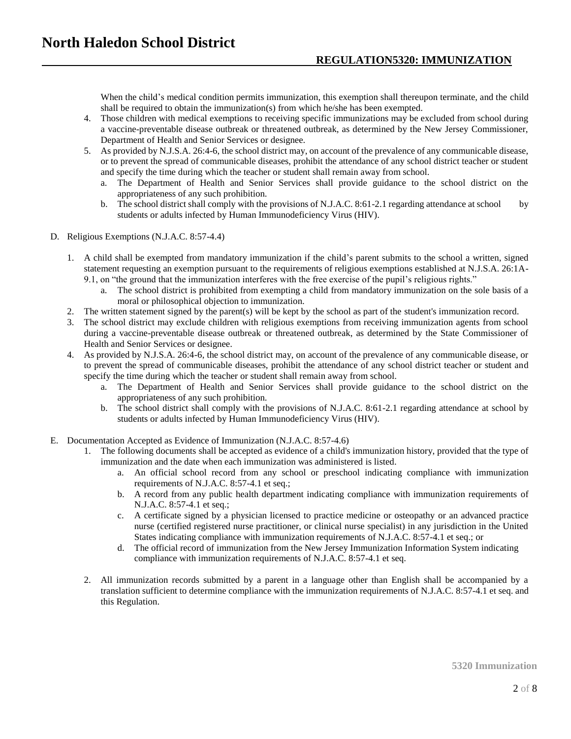When the child's medical condition permits immunization, this exemption shall thereupon terminate, and the child shall be required to obtain the immunization(s) from which he/she has been exempted.

- 4. Those children with medical exemptions to receiving specific immunizations may be excluded from school during a vaccine-preventable disease outbreak or threatened outbreak, as determined by the New Jersey Commissioner, Department of Health and Senior Services or designee.
- 5. As provided by N.J.S.A. 26:4-6, the school district may, on account of the prevalence of any communicable disease, or to prevent the spread of communicable diseases, prohibit the attendance of any school district teacher or student and specify the time during which the teacher or student shall remain away from school.
	- a. The Department of Health and Senior Services shall provide guidance to the school district on the appropriateness of any such prohibition.
	- b. The school district shall comply with the provisions of N.J.A.C. 8:61-2.1 regarding attendance at school by students or adults infected by Human Immunodeficiency Virus (HIV).
- D. Religious Exemptions (N.J.A.C. 8:57-4.4)
	- 1. A child shall be exempted from mandatory immunization if the child's parent submits to the school a written, signed statement requesting an exemption pursuant to the requirements of religious exemptions established at N.J.S.A. 26:1A-9.1, on "the ground that the immunization interferes with the free exercise of the pupil's religious rights."
		- a. The school district is prohibited from exempting a child from mandatory immunization on the sole basis of a moral or philosophical objection to immunization.
	- 2. The written statement signed by the parent(s) will be kept by the school as part of the student's immunization record.
	- 3. The school district may exclude children with religious exemptions from receiving immunization agents from school during a vaccine-preventable disease outbreak or threatened outbreak, as determined by the State Commissioner of Health and Senior Services or designee.
	- 4. As provided by N.J.S.A. 26:4-6, the school district may, on account of the prevalence of any communicable disease, or to prevent the spread of communicable diseases, prohibit the attendance of any school district teacher or student and specify the time during which the teacher or student shall remain away from school.
		- a. The Department of Health and Senior Services shall provide guidance to the school district on the appropriateness of any such prohibition.
		- b. The school district shall comply with the provisions of N.J.A.C. 8:61-2.1 regarding attendance at school by students or adults infected by Human Immunodeficiency Virus (HIV).
- E. Documentation Accepted as Evidence of Immunization (N.J.A.C. 8:57-4.6)
	- 1. The following documents shall be accepted as evidence of a child's immunization history, provided that the type of immunization and the date when each immunization was administered is listed.
		- a. An official school record from any school or preschool indicating compliance with immunization requirements of N.J.A.C. 8:57-4.1 et seq.;
		- b. A record from any public health department indicating compliance with immunization requirements of N.J.A.C. 8:57-4.1 et seq.;
		- c. A certificate signed by a physician licensed to practice medicine or osteopathy or an advanced practice nurse (certified registered nurse practitioner, or clinical nurse specialist) in any jurisdiction in the United States indicating compliance with immunization requirements of N.J.A.C. 8:57-4.1 et seq.; or
		- d. The official record of immunization from the New Jersey Immunization Information System indicating compliance with immunization requirements of N.J.A.C. 8:57-4.1 et seq.
	- 2. All immunization records submitted by a parent in a language other than English shall be accompanied by a translation sufficient to determine compliance with the immunization requirements of N.J.A.C. 8:57-4.1 et seq. and this Regulation.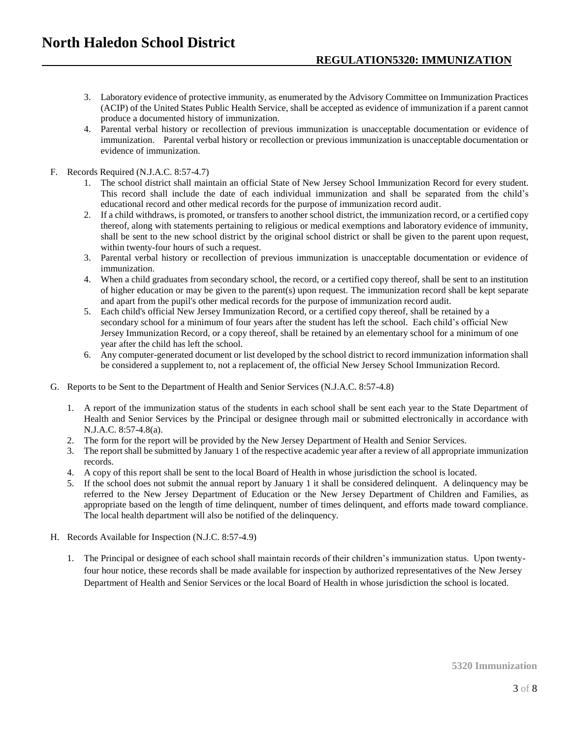- 3. Laboratory evidence of protective immunity, as enumerated by the Advisory Committee on Immunization Practices (ACIP) of the United States Public Health Service, shall be accepted as evidence of immunization if a parent cannot produce a documented history of immunization.
- 4. Parental verbal history or recollection of previous immunization is unacceptable documentation or evidence of immunization. Parental verbal history or recollection or previous immunization is unacceptable documentation or evidence of immunization.
- F. Records Required (N.J.A.C. 8:57-4.7)
	- 1. The school district shall maintain an official State of New Jersey School Immunization Record for every student. This record shall include the date of each individual immunization and shall be separated from the child's educational record and other medical records for the purpose of immunization record audit.
	- 2. If a child withdraws, is promoted, or transfers to another school district, the immunization record, or a certified copy thereof, along with statements pertaining to religious or medical exemptions and laboratory evidence of immunity, shall be sent to the new school district by the original school district or shall be given to the parent upon request, within twenty-four hours of such a request.
	- 3. Parental verbal history or recollection of previous immunization is unacceptable documentation or evidence of immunization.
	- 4. When a child graduates from secondary school, the record, or a certified copy thereof, shall be sent to an institution of higher education or may be given to the parent(s) upon request. The immunization record shall be kept separate and apart from the pupil's other medical records for the purpose of immunization record audit.
	- 5. Each child's official New Jersey Immunization Record, or a certified copy thereof, shall be retained by a secondary school for a minimum of four years after the student has left the school. Each child's official New Jersey Immunization Record, or a copy thereof, shall be retained by an elementary school for a minimum of one year after the child has left the school.
	- 6. Any computer-generated document or list developed by the school district to record immunization information shall be considered a supplement to, not a replacement of, the official New Jersey School Immunization Record.
- G. Reports to be Sent to the Department of Health and Senior Services (N.J.A.C. 8:57-4.8)
	- 1. A report of the immunization status of the students in each school shall be sent each year to the State Department of Health and Senior Services by the Principal or designee through mail or submitted electronically in accordance with N.J.A.C. 8:57-4.8(a).
	- 2. The form for the report will be provided by the New Jersey Department of Health and Senior Services.
	- 3. The report shall be submitted by January 1 of the respective academic year after a review of all appropriate immunization records.
	- 4. A copy of this report shall be sent to the local Board of Health in whose jurisdiction the school is located.
	- 5. If the school does not submit the annual report by January 1 it shall be considered delinquent. A delinquency may be referred to the New Jersey Department of Education or the New Jersey Department of Children and Families, as appropriate based on the length of time delinquent, number of times delinquent, and efforts made toward compliance. The local health department will also be notified of the delinquency.
- H. Records Available for Inspection (N.J.C. 8:57-4.9)
	- 1. The Principal or designee of each school shall maintain records of their children's immunization status. Upon twentyfour hour notice, these records shall be made available for inspection by authorized representatives of the New Jersey Department of Health and Senior Services or the local Board of Health in whose jurisdiction the school is located.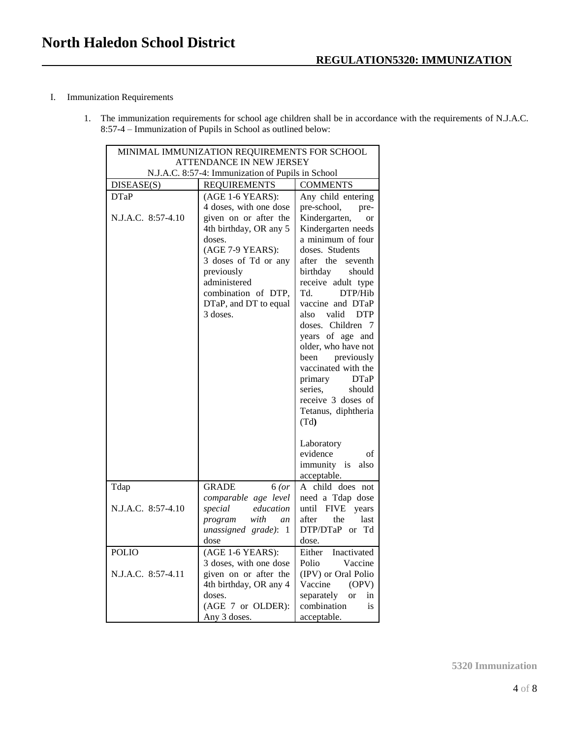## I. Immunization Requirements

1. The immunization requirements for school age children shall be in accordance with the requirements of N.J.A.C. 8:57-4 – Immunization of Pupils in School as outlined below:

| MINIMAL IMMUNIZATION REQUIREMENTS FOR SCHOOL      |                                                                           |                                                                  |
|---------------------------------------------------|---------------------------------------------------------------------------|------------------------------------------------------------------|
| ATTENDANCE IN NEW JERSEY                          |                                                                           |                                                                  |
| N.J.A.C. 8:57-4: Immunization of Pupils in School |                                                                           |                                                                  |
| DISEASE(S)                                        | <b>REQUIREMENTS</b>                                                       | <b>COMMENTS</b>                                                  |
| <b>DTaP</b>                                       | (AGE 1-6 YEARS):                                                          | Any child entering                                               |
| N.J.A.C. 8:57-4.10                                | 4 doses, with one dose<br>given on or after the<br>4th birthday, OR any 5 | pre-school,<br>pre-<br>Kindergarten,<br>or<br>Kindergarten needs |
|                                                   | doses.                                                                    | a minimum of four                                                |
|                                                   | (AGE 7-9 YEARS):                                                          | doses. Students                                                  |
|                                                   | 3 doses of Td or any                                                      | after the<br>seventh                                             |
|                                                   | previously                                                                | birthday<br>should                                               |
|                                                   | administered                                                              | receive adult type                                               |
|                                                   | combination of DTP.                                                       | DTP/Hib<br>Td.                                                   |
|                                                   | DTaP, and DT to equal                                                     | vaccine and DTaP                                                 |
|                                                   | 3 doses.                                                                  | <b>DTP</b><br>also<br>valid                                      |
|                                                   |                                                                           | doses. Children 7                                                |
|                                                   |                                                                           | years of age and                                                 |
|                                                   |                                                                           | older, who have not                                              |
|                                                   |                                                                           | previously<br>been                                               |
|                                                   |                                                                           | vaccinated with the                                              |
|                                                   |                                                                           | primary<br><b>DTaP</b><br>series,<br>should                      |
|                                                   |                                                                           | receive 3 doses of                                               |
|                                                   |                                                                           | Tetanus, diphtheria                                              |
|                                                   |                                                                           | (Td)                                                             |
|                                                   |                                                                           | Laboratory                                                       |
|                                                   |                                                                           | evidence<br>οf                                                   |
|                                                   |                                                                           | immunity is<br>also                                              |
|                                                   |                                                                           | acceptable.                                                      |
| Tdap                                              | <b>GRADE</b><br>6 (or                                                     | A child does not                                                 |
|                                                   | comparable age level                                                      | need a Tdap dose                                                 |
| N.J.A.C. 8:57-4.10                                | special<br>education                                                      | until FIVE years                                                 |
|                                                   | with<br>program<br>an                                                     | after<br>the<br>last                                             |
|                                                   | unassigned grade): 1                                                      | DTP/DTaP or Td                                                   |
|                                                   | dose                                                                      | dose.                                                            |
| <b>POLIO</b>                                      | (AGE 1-6 YEARS):                                                          | Either<br>Inactivated                                            |
|                                                   | 3 doses, with one dose                                                    | Polio<br>Vaccine                                                 |
| N.J.A.C. 8:57-4.11                                | given on or after the                                                     | (IPV) or Oral Polio                                              |
|                                                   | 4th birthday, OR any 4                                                    | Vaccine<br>(OPV)                                                 |
|                                                   | doses.                                                                    | separately<br><sub>or</sub><br>in<br>combination                 |
|                                                   | (AGE 7 or OLDER):<br>Any 3 doses.                                         | is                                                               |
|                                                   |                                                                           | acceptable.                                                      |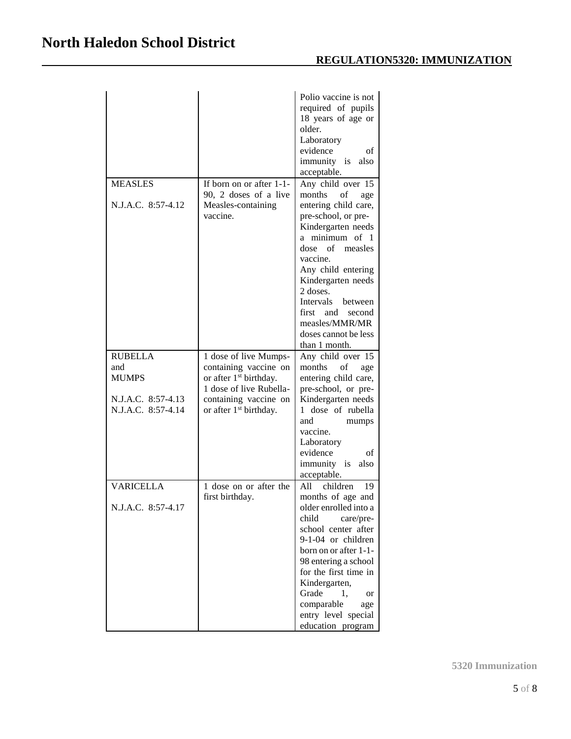| <b>MEASLES</b>                           | If born on or after 1-1-<br>90, 2 doses of a live                                                               | Polio vaccine is not<br>required of pupils<br>18 years of age or<br>older.<br>Laboratory<br>evidence<br>of<br>immunity is<br>also<br>acceptable.<br>Any child over 15<br>months<br>οf<br>age                                                                              |
|------------------------------------------|-----------------------------------------------------------------------------------------------------------------|---------------------------------------------------------------------------------------------------------------------------------------------------------------------------------------------------------------------------------------------------------------------------|
| N.J.A.C. 8:57-4.12                       | Measles-containing<br>vaccine.                                                                                  | entering child care,<br>pre-school, or pre-<br>Kindergarten needs<br>a minimum of 1<br>dose of measles<br>vaccine.<br>Any child entering<br>Kindergarten needs<br>2 doses.<br><b>Intervals</b><br>between<br>first and<br>second<br>measles/MMR/MR                        |
|                                          |                                                                                                                 | doses cannot be less<br>than 1 month.                                                                                                                                                                                                                                     |
| <b>RUBELLA</b><br>and<br><b>MUMPS</b>    | 1 dose of live Mumps-<br>containing vaccine on<br>or after 1 <sup>st</sup> birthday.<br>1 dose of live Rubella- | Any child over 15<br>months<br>of<br>age<br>entering child care,<br>pre-school, or pre-                                                                                                                                                                                   |
| N.J.A.C. 8:57-4.13<br>N.J.A.C. 8:57-4.14 | containing vaccine on<br>or after 1 <sup>st</sup> birthday.                                                     | Kindergarten needs<br>1 dose of rubella<br>and<br>mumps<br>vaccine.<br>Laboratory<br>evidence<br>of<br>immunity is<br>also<br>acceptable.                                                                                                                                 |
| <b>VARICELLA</b>                         | 1 dose on or after the<br>first birthday.                                                                       | children<br>All<br>19<br>months of age and                                                                                                                                                                                                                                |
| N.J.A.C. 8:57-4.17                       |                                                                                                                 | older enrolled into a<br>child<br>care/pre-<br>school center after<br>9-1-04 or children<br>born on or after 1-1-<br>98 entering a school<br>for the first time in<br>Kindergarten,<br>Grade<br>1.<br>or<br>comparable<br>age<br>entry level special<br>education program |

**5320 Immunization**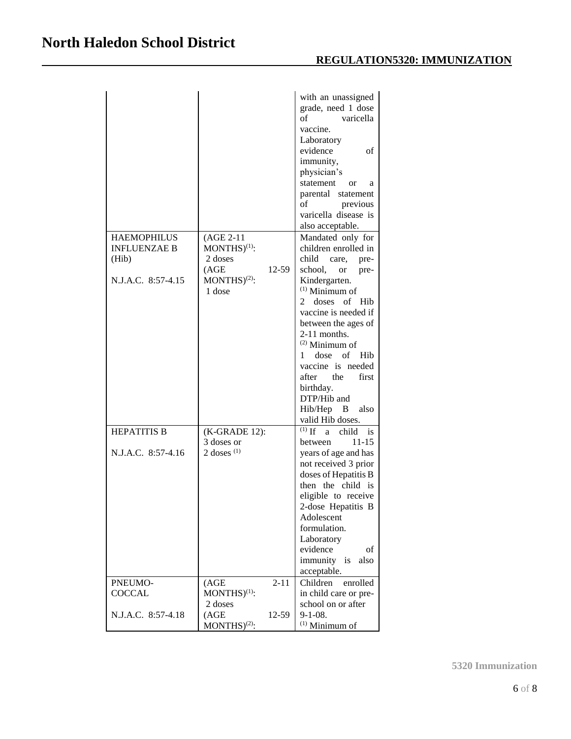| <b>HAEMOPHILUS</b><br><b>INFLUENZAE B</b><br>(Hib)<br>N.J.A.C. 8:57-4.15 | (AGE 2-11<br>$MONTHS)^{(1)}$ :<br>2 doses<br>(AGE)<br>12-59<br>$MONTHS)^{(2)}$ :<br>1 dose | with an unassigned<br>grade, need 1 dose<br>of<br>varicella<br>vaccine.<br>Laboratory<br>evidence<br>οf<br>immunity,<br>physician's<br>statement<br>or<br>a<br>parental statement<br>of<br>previous<br>varicella disease is<br>also acceptable.<br>Mandated only for<br>children enrolled in<br>child<br>care,<br>pre-<br>school, or<br>pre-<br>Kindergarten.<br>$(1)$ Minimum of<br>doses<br>of Hib<br>2<br>vaccine is needed if<br>between the ages of<br>$2-11$ months.<br>$(2)$ Minimum of<br>1 dose of Hib<br>vaccine is needed<br>after the<br>first<br>birthday.<br>DTP/Hib and<br>Hib/Hep B<br>also<br>valid Hib doses. |
|--------------------------------------------------------------------------|--------------------------------------------------------------------------------------------|---------------------------------------------------------------------------------------------------------------------------------------------------------------------------------------------------------------------------------------------------------------------------------------------------------------------------------------------------------------------------------------------------------------------------------------------------------------------------------------------------------------------------------------------------------------------------------------------------------------------------------|
| <b>HEPATITIS B</b>                                                       | (K-GRADE 12):                                                                              | $(1)$ If<br>child<br>a -<br>$\overline{\phantom{a}}$ is                                                                                                                                                                                                                                                                                                                                                                                                                                                                                                                                                                         |
|                                                                          | 3 doses or                                                                                 | $11 - 15$<br>between                                                                                                                                                                                                                                                                                                                                                                                                                                                                                                                                                                                                            |
| N.J.A.C. 8:57-4.16                                                       | 2 doses $(1)$                                                                              | years of age and has<br>not received 3 prior<br>doses of Hepatitis B<br>then the child is<br>eligible to receive<br>2-dose Hepatitis B<br>Adolescent<br>formulation.<br>Laboratory<br>evidence<br>οf<br>immunity is<br>also<br>acceptable.                                                                                                                                                                                                                                                                                                                                                                                      |
| PNEUMO-                                                                  | (AGE)<br>$2 - 11$                                                                          | Children<br>enrolled                                                                                                                                                                                                                                                                                                                                                                                                                                                                                                                                                                                                            |
| <b>COCCAL</b>                                                            | $MONTHS)^{(1)}$ :                                                                          | in child care or pre-                                                                                                                                                                                                                                                                                                                                                                                                                                                                                                                                                                                                           |
| N.J.A.C. 8:57-4.18                                                       | 2 doses<br>(AGE)<br>12-59<br>MONTHS <sup>(2)</sup> :                                       | school on or after<br>$9-1-08$ .<br>$(1)$ Minimum of                                                                                                                                                                                                                                                                                                                                                                                                                                                                                                                                                                            |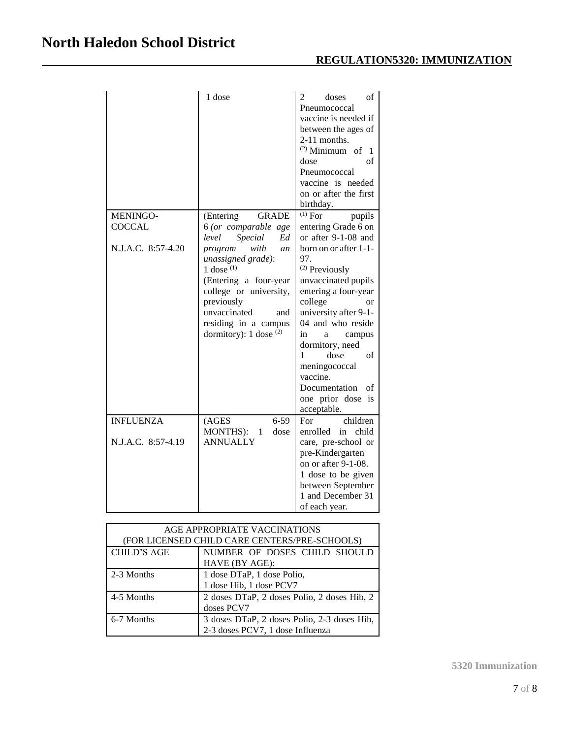|                    | 1 dose                        | 2<br>doses<br>οf<br>Pneumococcal<br>vaccine is needed if<br>between the ages of<br>2-11 months.<br>$(2)$ Minimum of 1<br>of<br>dose<br>Pneumococcal<br>vaccine is needed<br>on or after the first<br>birthday. |
|--------------------|-------------------------------|----------------------------------------------------------------------------------------------------------------------------------------------------------------------------------------------------------------|
| <b>MENINGO-</b>    | <b>GRADE</b><br>(Entering)    | $(1)$ For<br>pupils                                                                                                                                                                                            |
| <b>COCCAL</b>      | 6 (or comparable age          | entering Grade 6 on                                                                                                                                                                                            |
|                    | Ed<br>level<br>Special        | or after 9-1-08 and                                                                                                                                                                                            |
| N.J.A.C. 8:57-4.20 | with<br>program<br>an         | born on or after 1-1-                                                                                                                                                                                          |
|                    | unassigned grade):            | 97.                                                                                                                                                                                                            |
|                    | 1 dose $(1)$                  | <sup>(2)</sup> Previously                                                                                                                                                                                      |
|                    | (Entering a four-year         | unvaccinated pupils                                                                                                                                                                                            |
|                    | college or university,        | entering a four-year                                                                                                                                                                                           |
|                    | previously                    | college<br><sub>or</sub>                                                                                                                                                                                       |
|                    | unvaccinated<br>and           | university after 9-1-                                                                                                                                                                                          |
|                    | residing in a campus          | 04 and who reside                                                                                                                                                                                              |
|                    | dormitory): $1$ dose $(2)$    | in<br>campus<br>a                                                                                                                                                                                              |
|                    |                               | dormitory, need<br>dose<br>1<br>of                                                                                                                                                                             |
|                    |                               | meningococcal                                                                                                                                                                                                  |
|                    |                               | vaccine.                                                                                                                                                                                                       |
|                    |                               | Documentation<br>of                                                                                                                                                                                            |
|                    |                               | one prior dose is                                                                                                                                                                                              |
|                    |                               | acceptable.                                                                                                                                                                                                    |
| <b>INFLUENZA</b>   | (AGES<br>$6 - 59$             | children<br>For                                                                                                                                                                                                |
|                    | <b>MONTHS</b> ):<br>dose<br>1 | enrolled<br>child<br>in                                                                                                                                                                                        |
| N.J.A.C. 8:57-4.19 | <b>ANNUALLY</b>               | care, pre-school or                                                                                                                                                                                            |
|                    |                               | pre-Kindergarten                                                                                                                                                                                               |
|                    |                               | on or after 9-1-08.                                                                                                                                                                                            |
|                    |                               | 1 dose to be given                                                                                                                                                                                             |
|                    |                               | between September                                                                                                                                                                                              |
|                    |                               | 1 and December 31                                                                                                                                                                                              |
|                    |                               | of each year.                                                                                                                                                                                                  |

| AGE APPROPRIATE VACCINATIONS                  |                                             |
|-----------------------------------------------|---------------------------------------------|
| (FOR LICENSED CHILD CARE CENTERS/PRE-SCHOOLS) |                                             |
| <b>CHILD'S AGE</b>                            | NUMBER OF DOSES CHILD SHOULD                |
|                                               | HAVE (BY AGE):                              |
| 2-3 Months                                    | 1 dose DTaP, 1 dose Polio,                  |
|                                               | 1 dose Hib, 1 dose PCV7                     |
| 4-5 Months                                    | 2 doses DTaP, 2 doses Polio, 2 doses Hib, 2 |
|                                               | doses PCV7                                  |
| 6-7 Months                                    | 3 doses DTaP, 2 doses Polio, 2-3 doses Hib, |
|                                               | 2-3 doses PCV7, 1 dose Influenza            |

**5320 Immunization**